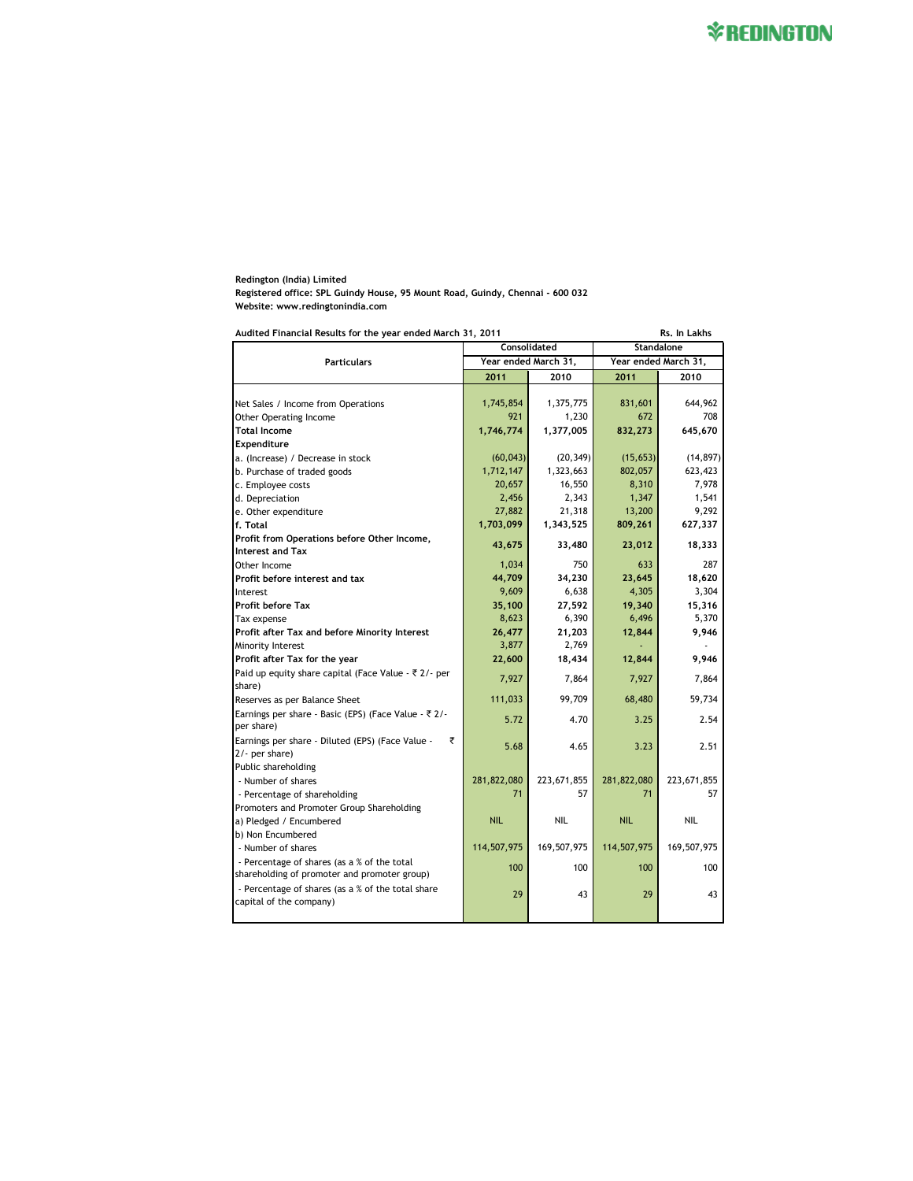**Redington (India) Limited Registered office: SPL Guindy House, 95 Mount Road, Guindy, Chennai - 600 032 Website: www.redingtonindia.com**

| Rs. In Lakhs<br>Audited Financial Results for the year ended March 31, 2011                                            |                      |                   |                      |                   |
|------------------------------------------------------------------------------------------------------------------------|----------------------|-------------------|----------------------|-------------------|
| Consolidated                                                                                                           |                      |                   | <b>Standalone</b>    |                   |
| <b>Particulars</b>                                                                                                     | Year ended March 31, |                   | Year ended March 31, |                   |
|                                                                                                                        | 2011                 | 2010              | 2011                 | 2010              |
|                                                                                                                        |                      |                   |                      |                   |
| Net Sales / Income from Operations                                                                                     | 1,745,854            | 1,375,775         | 831,601              | 644,962           |
| <b>Other Operating Income</b>                                                                                          | 921                  | 1,230             | 672                  | 708               |
| <b>Total Income</b>                                                                                                    | 1,746,774            | 1,377,005         | 832,273              | 645,670           |
| Expenditure                                                                                                            |                      |                   |                      |                   |
| a. (Increase) / Decrease in stock                                                                                      | (60, 043)            | (20, 349)         | (15, 653)            | (14, 897)         |
| b. Purchase of traded goods                                                                                            | 1,712,147            | 1,323,663         | 802,057              | 623,423           |
| c. Employee costs                                                                                                      | 20,657               | 16,550            | 8,310                | 7,978             |
| d. Depreciation                                                                                                        | 2,456                | 2,343             | 1,347                | 1,541             |
| e. Other expenditure                                                                                                   | 27,882               | 21,318            | 13,200               | 9,292             |
| f. Total                                                                                                               | 1,703,099            | 1,343,525         | 809,261              | 627,337           |
| Profit from Operations before Other Income,<br><b>Interest and Tax</b>                                                 | 43,675               | 33,480            | 23,012               | 18,333            |
| Other Income                                                                                                           | 1,034                | 750               | 633                  | 287               |
| Profit before interest and tax                                                                                         | 44,709               | 34,230            | 23,645               | 18,620            |
| Interest                                                                                                               | 9,609                | 6,638             | 4,305                | 3,304             |
| <b>Profit before Tax</b>                                                                                               | 35,100               | 27,592            | 19,340               | 15,316            |
| Tax expense                                                                                                            | 8,623                | 6,390             | 6,496                | 5,370             |
| Profit after Tax and before Minority Interest                                                                          | 26,477               | 21,203            | 12,844               | 9,946             |
| Minority Interest                                                                                                      | 3,877                | 2,769             |                      |                   |
| Profit after Tax for the year                                                                                          | 22,600               | 18,434            | 12,844               | 9,946             |
| Paid up equity share capital (Face Value - ₹ 2/- per<br>share)                                                         | 7,927                | 7,864             | 7,927                | 7,864             |
| Reserves as per Balance Sheet                                                                                          | 111,033              | 99,709            | 68,480               | 59,734            |
| Earnings per share - Basic (EPS) (Face Value - ₹ 2/-<br>per share)                                                     | 5.72                 | 4.70              | 3.25                 | 2.54              |
| Earnings per share - Diluted (EPS) (Face Value -<br>₹<br>2/- per share)                                                | 5.68                 | 4.65              | 3.23                 | 2.51              |
| Public shareholding<br>- Number of shares<br>- Percentage of shareholding<br>Promoters and Promoter Group Shareholding | 281,822,080<br>71    | 223,671,855<br>57 | 281,822,080<br>71    | 223,671,855<br>57 |
| a) Pledged / Encumbered<br>b) Non Encumbered                                                                           | <b>NIL</b>           | <b>NIL</b>        | <b>NIL</b>           | <b>NIL</b>        |
| - Number of shares                                                                                                     | 114,507,975          | 169,507,975       | 114,507,975          | 169,507,975       |
| - Percentage of shares (as a % of the total                                                                            | 100                  | 100               | 100                  | 100               |
| shareholding of promoter and promoter group)                                                                           |                      |                   |                      |                   |
| - Percentage of shares (as a % of the total share<br>capital of the company)                                           | 29                   | 43                | 29                   | 43                |
|                                                                                                                        |                      |                   |                      |                   |